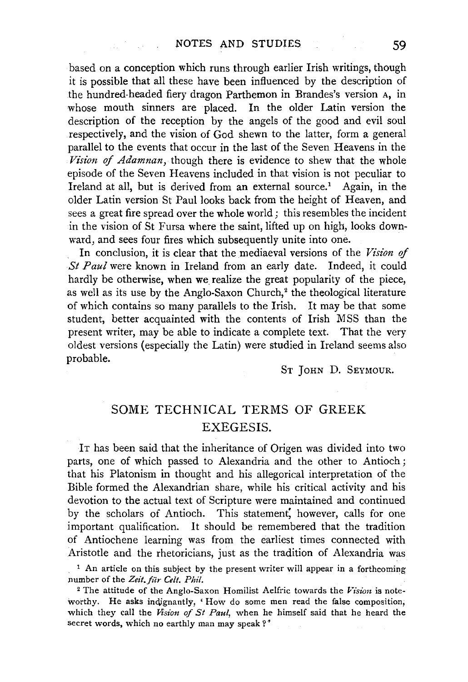based on a conception which runs through earlier Irish writings, though it is possible that all these have been influenced by the description of the hundred-headed fiery dragon Parthemon in Brandes's version A, in whose mouth sinners are placed. In the older Latin version the description of the reception by the angels of the good and evil soul respectively, and the vision of God shewn to the latter, form a general parallel to the events that occur in the last of the Seven Heavens in the *Vision of Adamnan,* though there is evidence to shew that the whole episode of the Seven Heavens included in that vision is not peculiar to Ireland at all, but is derived from an external source.<sup>1</sup> Again, in the older Latin version St Paul looks back from the height of Heaven, and sees a great fire spread over the whole world; this resembles the incident in the vision of St Fursa where the saint, lifted up on high, looks downward, and sees four fires which subsequently unite into one.

In conclusion, it is clear that the mediaeval versions of the Vision of *St Paul* were known in Ireland from an early date. Indeed, it could hardly be otherwise, when we realize the great popularity of the piece, as well as its use by the Anglo-Saxon Church,<sup>2</sup> the theological literature of which contains so many parallels to the Irish. It may be that some student, better acquainted with the contents of Irish MSS than the present writer, may be able to indicate a complete text. That the very oldest versions (especially the Latin) were studied in Ireland seems also probable.

ST JOHN D. SEYMOUR.

## SOME TECHNICAL TERMS OF GREEK EXEGESIS.

IT has been said that the inheritance of Origen was divided into two parts, one of which passed to Alexandria and the other to Antioch ; that his Platonism in thought and his allegorical interpretation of the Bible formed the Alexandrian share, while his critical activity and his devotion to the actual text of Scripture were maintained and continued by the scholars of Antioch. This statement, however, calls for one important qualification. It should be remembered that the tradition of Antiochene learning was from the earliest times connected with Aristotle and the rhetoricians, just as the tradition of Alexandria was

<sup>&</sup>lt;sup>1</sup> An article on this subject by the present writer will appear in a forthcoming number of the Zeit. für Celt. Phil.

<sup>2</sup> The attitude of the Anglo-Saxon Homilist Aelfric towards the *Vision* is noteworthy. He asks indignantly, 'How do some men read the false composition, which they call the *Vision of St Paul,* when he himself said that he heard the secret words, which no earthly man may speak?'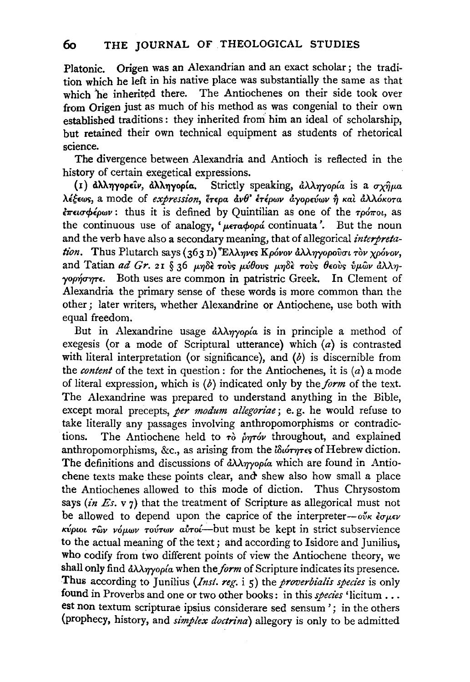Platonic. Origen was an Alexandrian and an exact scholar ; the tradition which he left in his native place was substantially the same as that which he inherited there. The Antiochenes on their side took over from Origen just as much of his method as was congenial to their own established traditions: they inherited from him an ideal of scholarship, but retained their own technical equipment as students of rhetorical science.

The divergence between Alexandria and Antioch is reflected in the history of certain exegetical expressions.

{I) dhl..1)yopELI', d>tJ .. ,.,yop~u. Strictly speaking, *dAA7rfop{a.* is a ux~p.a.  $\lambda$ έξεως, a mode of *expression*, έτερα άνθ' ετέρων άγορεύων ή και άλλόκοτα.  $\epsilon \pi \epsilon \omega \phi \epsilon \rho \omega \nu$ : thus it is defined by Quintilian as one of the *τρόποι*, as the continuous use of analogy, '*µeradooa'* continuata'. But the noun and the verb have also a secondary meaning, that of allegorical *interpretation.* Thus Plutarch says (363 D)<sup>9</sup> Ελληνες Κρόνον άλληγορούσι τὸν χρόνον, and Tatian *ad Gr.* 21 § 36 μηδε τους μύθους μηδε τους θεους υμων άλληγορήσητε. Both uses are common in patristric Greek. In Clement of Alexandria the primary sense of these words is more common than the other; later writers, whether Alexandrine or Antiochene, use both with equal freedom.

But in Alexandrine usage *ἀλληγορία* is in principle a method of exegesis (or a mode of Scriptural utterance) which  $(a)$  is contrasted with literal interpretation (or significance), and  $(b)$  is discernible from the *content* of the text in question: for the Antiochenes, it is (a) a mode of literal expression, which is (b) indicated only by the *form* of the text. The Alexandrine was prepared to understand anything in the Bible, except moral precepts, *per modum allegoriae*; e.g. he would refuse to take literally any passages involving anthropomorphisms or contradictions. The Antiochene held to  $\tau$ <sup>b</sup> prov throughout, and explained anthropomorphisms, &c., as arising from the *lotoryres* of Hebrew diction. The definitions and discussions of  $\partial \lambda \lambda \eta \gamma$ op<sup>{a}</sup> which are found in Antiochene texts make these points clear, and' shew also how small a place the Antiochenes allowed to this mode of diction. Thus Chrysostom says  $(in E_s, v_7)$  that the treatment of Scripture as allegorical must not be allowed to depend upon the caprice of the interpreter- $o\tilde{v}\kappa \partial \mu \epsilon \nu$ *K-6pwt Twv vop.CJ.lv TOVTCJ.IV a.Vr-o{-but* must be kept in strict subservience to the actual meaning of the text; and according to Isidore and Junilius, who codify from two different points of view the Antiochene theory, we shall only find *ἀλληγορία* when the *form* of Scripture indicates its presence. Thus according to Junilius *(Inst. reg.* i 5) the *proverbialis species* is only found in Proverbs and one or two other books: in this *species* 'licitum ... est non textum scripturae ipsius considerare sed sensum '; in the others (prophecy, history, and *simplex doctrina)* allegory is only to be admitted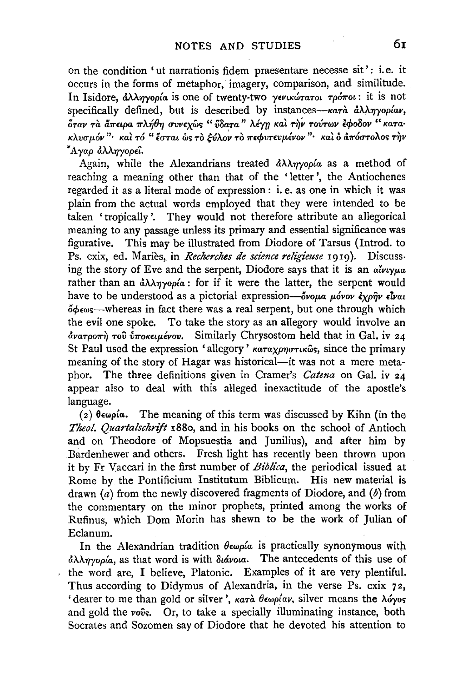on the condition 'ut narrationis fidem praesentare necesse sit': i.e. it occurs in the forms of metaphor, imagery, comparison, and similitude. In Isidore, *άλληγορία* is one of twenty-two *γενικώτατοι τρόποι*: it is not specifically defined, but is described by instances-κατά άλληγορίαν, *OTO.V* ~ *Ta* ' *a7rELpa* ~ 7r \ 'IJ.. ~ " "~ " ' ' ' '' ' ~..~.. ~ " *1\.'fJv 'I* <TVVEXW~ *voqTa 1\.E"f[/ Kat T'YJV TOVTWV* E't'OOOV KO. TO.·  $K\lambda v\sigma\mu$ όν "· *και τό* " έσται ως το *ξύλον το πε*φυτευμένον "· *και ο απόστολος την* ~Ayap *&U'YJyopEt.* 

Again, while the Alexandrians treated *tiAATJyop{a* as a method of reaching a meaning other than that of the 'letter', the Antiochenes regarded it as a literal mode of expression : i. e. as one in which it was plain from the actual words employed that they were intended to be taken ' tropically '. They would not therefore attribute an allegorical meaning to any passage unless its primary and essential significance was figurative. This may be illustrated from Diodore of Tarsus (Introd. to Ps. cxix, ed. Mariès, in *Recherches de science religieuse* 1919). Discussing the story of Eve and the serpent, Diodore says that it is an *alveyua* rather than an  $\partial \lambda \partial \eta$ *yop* $\alpha$ : for if it were the latter, the serpent would have to be understood as a pictorial expression- $\delta v \circ \mu a$   $\mu \circ \nu \circ \gamma \circ \nu a$  $\phi_{\text{e}}$ whereas in fact there was a real serpent, but one through which the evil one spoke. To take the story as an allegory would involve an  $\frac{\partial v}{\partial x}$   $\frac{\partial v}{\partial y}$   $\frac{\partial v}{\partial x}$   $\frac{\partial v}{\partial y}$ . Similarly Chrysostom held that in Gal. iv 24 St Paul used the expression 'allegory'  $\kappa a \tau a \chi \rho \eta \sigma \tau \kappa \omega s$ , since the primary meaning of the story of Hagar was historical-it was not a mere metaphor. The three definitions given in Cramer's *Catena* on Gal. iv 24 appear also to deal with this alleged inexactitude of the apostle's language.

(2)  $\theta \in \mathfrak{g}(\alpha)$ . The meaning of this term was discussed by Kihn (in the Theol. Quartalschrift 1880, and in his books on the school of Antioch and on Theodore of Mopsuestia and Junilius}, and after him by Bardenhewer and others. Fresh light has recently been thrown upon it by Fr Vaccari in the first number of *Biblica*, the periodical issued at Rome bv the Pontificium Institutum Biblicum. His new material is drawn  $(a)$  from the newly discovered fragments of Diodore, and  $(b)$  from the commentary on the minor prophets, printed among the works of Rufinus, which Dom Morin has shewn to be the work of Julian of Eclanum.

In the Alexandrian tradition  $\theta \epsilon \omega \rho / a$  is practically synonymous with  $d$ λληγορία, as that word is with διάνοια. The antecedents of this use of the word are, I believe, Platonic. Examples of it are very plentiful. Thus according to Didymus of Alexandria, in the verse Ps. cxix 72, ' dearer to me than gold or silver', *κατ*ά θεωρίαν, silver means the λόγος and gold the  $vo\hat{v}$ s. Or, to take a specially illuminating instance, both Socrates and Sozomen say of Diodore that he devoted his attention to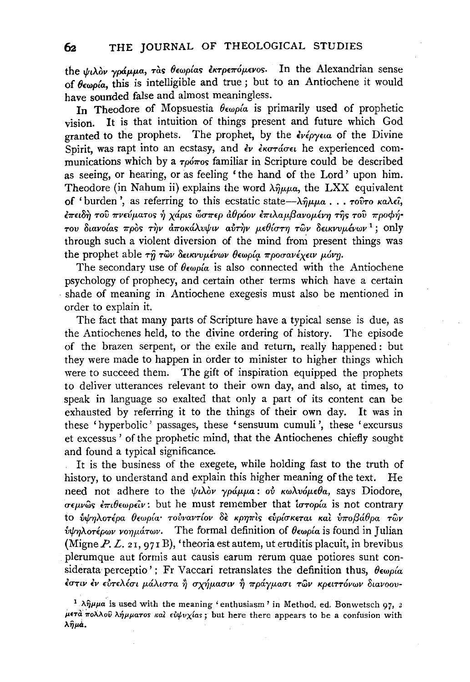the  $\psi \lambda$ ov  $\gamma \rho d\mu \mu a$ , ràs θεωρίας εκτρεπόμενος. In the Alexandrian sense of  $\theta \in \omega_0$  (a, this is intelligible and true; but to an Antiochene it would have sounded false and almost meaningless.

In Theodore of Mopsuestia  $\theta \epsilon_{\omega\rho}$  is primarily used of prophetic It is that intuition of things present and future which God vision. granted to the prophets. The prophet, by the  $\epsilon v \epsilon \rho \gamma \epsilon u$  of the Divine Spirit, was rapt into an ecstasy, and  $\partial v$  *ekoráget* he experienced communications which by a  $\tau_0$  of familiar in Scripture could be described as seeing, or hearing, or as feeling 'the hand of the Lord' upon him. Theodore (in Nahum ii) explains the word  $\lambda \hat{\eta} \mu \mu a$ , the LXX equivalent of 'burden', as referring to this ecstatic state— $\lambda \hat{\eta} \mu \mu a$ ...  $\tau \partial \hat{\sigma} \tau o$  καλεί, έπειδή του πνεύματος ή χάρις ὥσπερ άθρόον επιλαμβανομένη της του προφήτου διανοίας πρός την αποκάλυψιν αύτην μεθίστη των δεικνυμένων<sup>1</sup>; only through such a violent diversion of the mind from present things was the prophet able τη των δεικνυμένων θεωρία προσανέχειν μόνη.

The secondary use of  $\theta \in \omega$  p( $\alpha$  is also connected with the Antiochene psychology of prophecy, and certain other terms which have a certain shade of meaning in Antiochene exegesis must also be mentioned in order to explain it.

The fact that many parts of Scripture have a typical sense is due, as the Antiochenes held, to the divine ordering of history. The episode of the brazen serpent, or the exile and return, really happened: but they were made to happen in order to minister to higher things which were to succeed them. The gift of inspiration equipped the prophets to deliver utterances relevant to their own day, and also, at times, to speak in language so exalted that only a part of its content can be exhausted by referring it to the things of their own day. It was in these 'hyperbolic' passages, these 'sensuum cumuli', these 'excursus et excessus' of the prophetic mind, that the Antiochenes chiefly sought and found a typical significance.

It is the business of the exegete, while holding fast to the truth of history, to understand and explain this higher meaning of the text. He need not adhere to the ψιλόν γράμμα: ού κωλυόμεθα, says Diodore, σεμνώς έπιθεωρείν: but he must remember that ίστορία is not contrary το ύψηλοτέρα θεωρία τούναντίον δε κρηπίς εύρίσκεται και ύποβάθρα των υψηλοτέρων νοημάτων. The formal definition of θεωρία is found in Julian (Migne  $P$ ,  $L$ ,  $2I$ ,  $97I$  B), 'theoria est autem, ut eruditis placuit, in brevibus plerumque aut formis aut causis earum rerum quae potiores sunt considerata perceptio'; Fr Vaccari retranslates the definition thus,  $\theta \epsilon \omega \rho / \alpha$ έστιν έν εύτελέσι μάλιστα ή σχήμασιν ή πράγμασι των κρειττόνων διανοου-

62

<sup>&</sup>lt;sup>1</sup>  $\lambda \hat{\eta} \mu \mu a$  is used with the meaning 'enthusiasm' in Method. ed. Bonwetsch 97, 2 μετά πολλού λήμματος και ευψυχίας; but here there appears to be a confusion with λημά.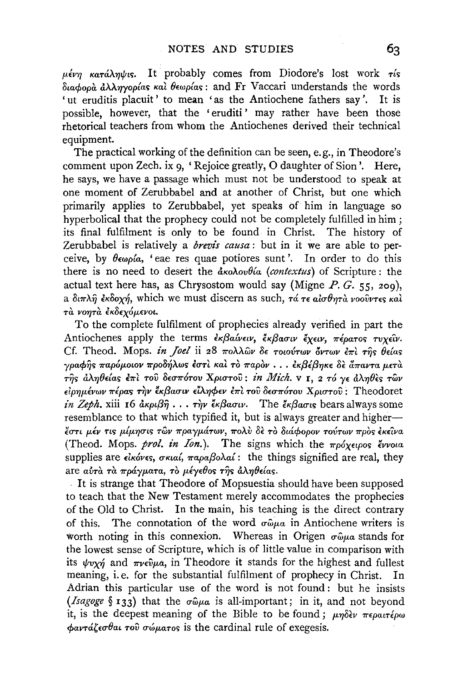$\mu \epsilon \nu \eta$  κατάληψις. It probably comes from Diodore's lost work τίς διαφορά άλληγορίας και θεωρίας: and Fr Vaccari understands the words 'ut eruditis placuit' to mean 'as the Antiochene fathers say'. It is possible, however, that the 'eruditi' may rather have been those rhetorical teachers from whom the Antiochenes derived their technical equipment.

The practical working of the definition can be seen, e.g., in Theodore's comment upon Zech. ix 9, 'Rejoice greatly, O daughter of Sion'. Here, he says, we have a passage which must not be understood to speak at one moment of Zerubbabel and at another of Christ, but one which primarily applies to Zerubbabel, yet speaks of him in language so hyperbolical that the prophecy could not be completely fulfilled in him; its final fulfilment is only to be found in Christ. The history of Zerubbabel is relatively a *brevis causa*: but in it we are able to perceive, by  $\theta \epsilon_{\omega\rho}$  ( $\alpha$ , 'eae res quae potiores sunt'. In order to do this there is no need to desert the  $\frac{\partial}{\partial u}$  (contextus) of Scripture: the actual text here has, as Chrysostom would say (Migne  $P. G. 55, 200$ ), a διπλή εκδοχή, which we must discern as such, τά τε αίσθητά νουΐντες και τά νοητά έκδεχόμενοι.

To the complete fulfilment of prophecies already verified in part the Antiochenes apply the terms εκβαίνειν, έκβασιν έχειν, πέρατος τυχείν. Cf. Theod. Mops. in *Joel* ii 28  $\pi$ oλλων δε τοιούτων όντων έπι της θείας  $\gamma$ ραφής παρόμοιον προδήλως έστι και το παρον... εκβέβηκε δε άπαντα μετα της άληθείας έπι του δεσπότου Χριστού: in Mich. v 1, 2 τό γε άληθες των είρημένων πέρας την έκβασιν είληφεν επι του δεσπότου Χριστού: Theodoret *in Zeph.* xiii 16  $\frac{\partial \kappa}{\partial y}$ ...  $\tau \gamma y$   $\frac{\partial \kappa}{\partial x}$  are The  $\frac{\partial \kappa}{\partial y}$  bears always some resemblance to that which typified it, but is always greater and higherέστι μέν τις μίμησις των πραγμάτων, πολύ δε το διάφορον τούτων προς έκεινα (Theod. Mops. prol. in Ion.). The signs which the  $\pi \rho \delta \chi \epsilon \rho$ os έννοια supplies are  $\epsilon\hat{i}$ κόνες, σκιαί, παραβολαί: the things signified are real, they are αύτα τα πράγματα, το μέγεθος της άληθείας.

It is strange that Theodore of Mopsuestia should have been supposed to teach that the New Testament merely accommodates the prophecies of the Old to Christ. In the main, his teaching is the direct contrary The connotation of the word  $\sigma \hat{\omega} \mu a$  in Antiochene writers is of this. worth noting in this connexion. Whereas in Origen  $\sigma \hat{\omega} \mu a$  stands for the lowest sense of Scripture, which is of little value in comparison with its  $\psi v \chi \eta$  and  $\pi \nu \epsilon \hat{v} \mu a$ , in Theodore it stands for the highest and fullest meaning, i.e. for the substantial fulfilment of prophecy in Christ. In Adrian this particular use of the word is not found: but he insists (*Isagoge* § 133) that the  $\sigma \hat{\omega} \mu \alpha$  is all-important; in it, and not beyond it, is the deepest meaning of the Bible to be found;  $\mu\eta\delta\epsilon\nu$  περαιτέρω  $\phi$ avrá $\zeta$ <sub>6</sub> $\sigma$ θαι του σώματος is the cardinal rule of exegesis.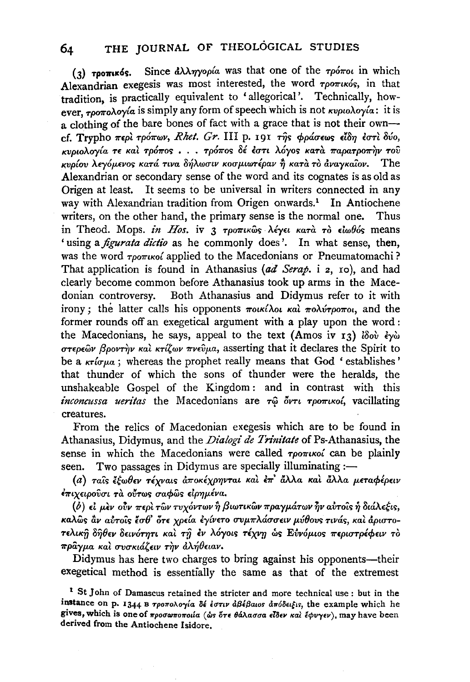Since  $\partial \lambda \gamma$  and was that one of the  $\tau \rho \delta \pi \sigma \mu$  in which  $(3)$  τροπικός. Alexandrian exegesis was most interested, the word  $\tau$ ponuxós, in that tradition, is practically equivalent to 'allegorical'. Technically, however, τροπολογία is simply any form of speech which is not κυριολογία: it is a clothing of the bare bones of fact with a grace that is not their owncf. Trypho περί τρόπων, Rhet. Gr. III p. 191 της φράσεως είδη έστι δύο, κυριολογία τε και τρόπος... τρόπος δέ έστι λόγος κατά παρατροπήν του κυρίου λεγόμενος κατά τινα δήλωσιν κοσμιωτέραν ή κατά το άναγκαίον. The Alexandrian or secondary sense of the word and its cognates is as old as Origen at least. It seems to be universal in writers connected in any way with Alexandrian tradition from Origen onwards.<sup>1</sup> In Antiochene writers, on the other hand, the primary sense is the normal one. Thus in Theod. Mops. in Hos. iv 3 τροπικώς λέγει κατά το είωθός means 'using a *figurata dictio* as he commonly does'. In what sense, then, was the word  $\tau$ po $\pi$ ikoi applied to the Macedonians or Pneumatomachi? That application is found in Athanasius (ad Serap. i 2, 10), and had clearly become common before Athanasius took up arms in the Mace-Both Athanasius and Didymus refer to it with donian controversy. irony; the latter calls his opponents  $\pi$ oικίλοι και  $\pi$ ολύτροποι, and the former rounds off an exegetical argument with a play upon the word: the Macedonians, he says, appeal to the text (Amos iv 13) lov  $\epsilon y$   $\omega$ στερεών βροντήν και κτίζων πνεύμα, asserting that it declares the Spirit to be a  $\kappa r \omega \mu a$ ; whereas the prophet really means that God 'establishes' that thunder of which the sons of thunder were the heralds, the unshakeable Gospel of the Kingdom: and in contrast with this inconcussa ueritas the Macedonians are  $\tau$  $\hat{\omega}$  ov $\tau$   $\tau$   $\rho$ o $\pi$ ικοί, vacillating creatures.

From the relics of Macedonian exegesis which are to be found in Athanasius, Didymus, and the Dialogi de Trinitate of Ps-Athanasius, the sense in which the Macedonians were called *roomuoi* can be plainly seen. Two passages in Didymus are specially illuminating :-

(α) ταΐς έξωθεν τέχναις άποκέχρηνται και έπ' άλλα και άλλα μεταφέρειν έπιχειρούσι τα ούτως σαφώς είρημένα.

 $(b)$  εί μεν ούν περί των τυχόντων ή βιωτικών πραγμάτων ήν αύτοις ή διάλεξις, καλώς αν αύτοις έσθ' ότε χρεία εγίνετο συμπλάσσειν μύθους τινάς, και άριστοτελική δήθεν δεινότητι και τη έν λόγοις τέχνη ως Ευνόμιος περιστρέφειν το πράγμα και συσκιάζειν την άλήθειαν.

Didymus has here two charges to bring against his opponents-their exegetical method is essentially the same as that of the extremest

<sup>&</sup>lt;sup>1</sup> St John of Damascus retained the stricter and more technical use : but in the instance on p. 1344 B  $\tau$ ροπολογία δέ έστιν άβέβαιος απόδειξις, the example which he gives, which is one of προσωποποιία (ώς ότε θάλασσα είδεν και έφυγεν), may have been derived from the Antiochene Isidore.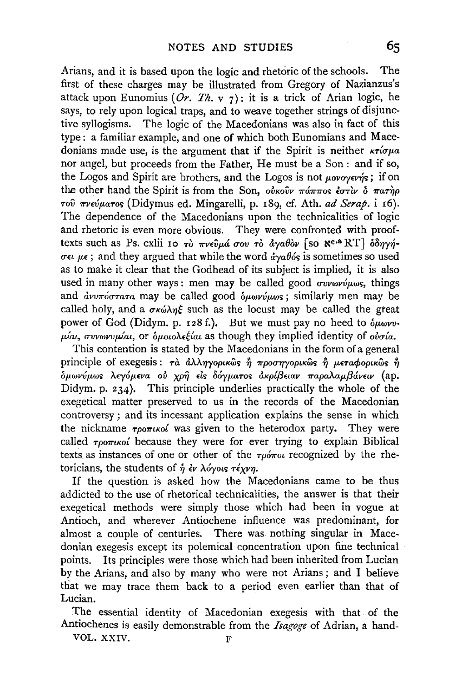Arians, and it is based upon the logic and rhetoric of the schools. The first of these charges may be illustrated from Gregory of Nazianzus's attack upon Eunomius (Or. Th. v 7): it is a trick of Arian logic, he says, to rely upon logical traps, and to weave together strings of disjunctive syllogisms. The logic of the Macedonians was also in fact of this type: a familiar example, and one of which both Eunomians and Macedonians made use, is the argument that if the Spirit is neither  $\kappa\tau\acute{\iota}\sigma\mu a$ nor angel, but proceeds from the Father, He must be a Son : and if so, the Logos and Spirit are brothers, and the Logos is not  $\mu o\nu o\nu \nu \nu \gamma s$ ; if on the other hand the Spirit is from the Son,  $o\dot{v}$ *kovv*  $\pi \dot{a} \pi \pi \dot{o} s$  *do*  $\pi \dot{a} \pi \dot{m} \rho$ Tov 7rV£vp.aTo<; (Didymus ed. Mingarelli, p. r8g, cf. Ath. *ad Serap.* i r6). The dependence of the Macedonians upon the technicalities of logic and rhetoric is even more obvious. They were confronted with prooftexts such as Ps. cxlii 10 Tò  $\pi\nu\epsilon\hat{v}\mu\hat{a}$  oov Tò  $\hat{a}\gamma a\theta\hat{o}\nu$  [so  $\aleph^{\alpha}$ <sup>a</sup> RT]  $\delta\delta\eta\gamma\hat{\eta}$ - $\sigma \epsilon \mu \epsilon$ ; and they argued that while the word  $\frac{d}{d}y \frac{d}{d}s$  is sometimes so used as to make it clear that the Godhead of its subject is implied, it is also used in many other ways : men may be called good  $\sigma v w w v' \mu \omega s$ , things and  $\partial \omega v \pi \partial \sigma \tau$ ara may be called good  $\partial \omega \omega v \omega \omega$ s; similarly men may be called holy, and a  $\sigma \kappa \omega \lambda \eta \xi$  such as the locust may be called the great power of God (Didym. p. 128 f.). But we must pay no heed to  $\delta \mu \omega \nu v$ - $\mu$ ίαι, συνωνυμίαι, or ομοιολεξίαι as though they implied identity of ουσία.

This contention is stated by the Macedonians in the form of a general principle of exegesis:  $\tau \hat{a}$   $\hat{a} \lambda \lambda \eta \gamma \rho \rho \mu \hat{\omega} s$   $\hat{\eta}$   $\eta \rho \sigma \eta \gamma \rho \rho \mu \hat{\omega} s$   $\hat{\eta}$   $\mu \epsilon \tau \alpha \phi \rho \rho \mu \hat{\omega} s$   $\hat{\eta}$ δμωνύμως λεγόμενα ού χρη<sup>3</sup> είς δόγματος ακρίβειαν παραλαμβάνειν (ap. Didym. p. 234). This principle underlies practically the whole of the exegetical matter preserved to us in the records of the Macedonian controversy; and its incessant application explains the sense in which the nickname  $\tau_{\rho 0}$ *rtico* was given to the heterodox party. They were called  $\tau_{\rho 0}$ *musoi* because they were for ever trying to explain Biblical texts as instances of one or other of the  $\tau \rho \acute{\sigma} \tau$ ou recognized by the rhetoricians, the students of ή έν λόγοιs τέχνη.

If the question is asked how the Macedonians came to be thus addicted to the use of rhetorical technicalities, the answer is that their exegetical methods were simply those which had been in vogue at Antioch, and wherever Antiochene influence was predominant, for almost a couple of centuries. There was nothing singular in Macedonian exegesis except its polemical concentration upon fine technical points. Its principles were those which had been inherited from Lucian by the Arians, and also by many who were not Arians ; and I believe that we may trace them back to a period even earlier than that of Lucian.

The essential identity of Macedonian exegesis with that of the Antiochenes is easily demonstrable from the *Isagoge* of Adrian, a hand-

VOL. XXIV.